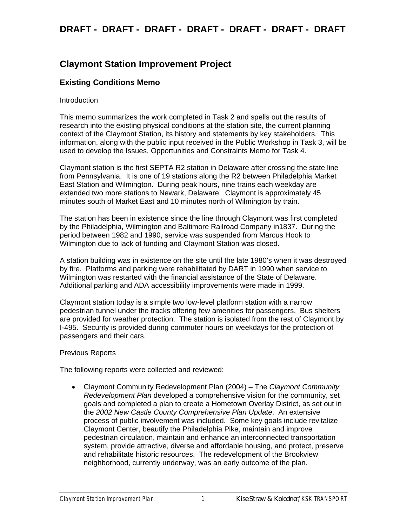### **Claymont Station Improvement Project**

### **Existing Conditions Memo**

#### Introduction

This memo summarizes the work completed in Task 2 and spells out the results of research into the existing physical conditions at the station site, the current planning context of the Claymont Station, its history and statements by key stakeholders. This information, along with the public input received in the Public Workshop in Task 3, will be used to develop the Issues, Opportunities and Constraints Memo for Task 4.

Claymont station is the first SEPTA R2 station in Delaware after crossing the state line from Pennsylvania. It is one of 19 stations along the R2 between Philadelphia Market East Station and Wilmington. During peak hours, nine trains each weekday are extended two more stations to Newark, Delaware. Claymont is approximately 45 minutes south of Market East and 10 minutes north of Wilmington by train.

The station has been in existence since the line through Claymont was first completed by the Philadelphia, Wilmington and Baltimore Railroad Company in1837. During the period between 1982 and 1990, service was suspended from Marcus Hook to Wilmington due to lack of funding and Claymont Station was closed.

A station building was in existence on the site until the late 1980's when it was destroyed by fire. Platforms and parking were rehabilitated by DART in 1990 when service to Wilmington was restarted with the financial assistance of the State of Delaware. Additional parking and ADA accessibility improvements were made in 1999.

Claymont station today is a simple two low-level platform station with a narrow pedestrian tunnel under the tracks offering few amenities for passengers. Bus shelters are provided for weather protection. The station is isolated from the rest of Claymont by I-495. Security is provided during commuter hours on weekdays for the protection of passengers and their cars.

#### Previous Reports

The following reports were collected and reviewed:

• Claymont Community Redevelopment Plan (2004) – The *Claymont Community Redevelopment Plan* developed a comprehensive vision for the community, set goals and completed a plan to create a Hometown Overlay District, as set out in the *2002 New Castle County Comprehensive Plan Update*. An extensive process of public involvement was included. Some key goals include revitalize Claymont Center, beautify the Philadelphia Pike, maintain and improve pedestrian circulation, maintain and enhance an interconnected transportation system, provide attractive, diverse and affordable housing, and protect, preserve and rehabilitate historic resources. The redevelopment of the Brookview neighborhood, currently underway, was an early outcome of the plan.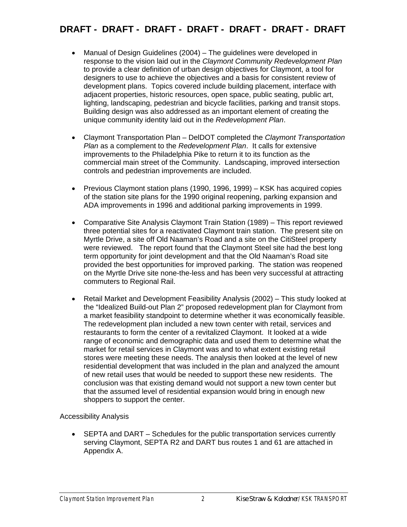- Manual of Design Guidelines (2004) The guidelines were developed in response to the vision laid out in the *Claymont Community Redevelopment Plan* to provide a clear definition of urban design objectives for Claymont, a tool for designers to use to achieve the objectives and a basis for consistent review of development plans. Topics covered include building placement, interface with adjacent properties, historic resources, open space, public seating, public art, lighting, landscaping, pedestrian and bicycle facilities, parking and transit stops. Building design was also addressed as an important element of creating the unique community identity laid out in the *Redevelopment Plan*.
- Claymont Transportation Plan DelDOT completed the *Claymont Transportation Plan* as a complement to the *Redevelopment Plan*. It calls for extensive improvements to the Philadelphia Pike to return it to its function as the commercial main street of the Community. Landscaping, improved intersection controls and pedestrian improvements are included.
- Previous Claymont station plans (1990, 1996, 1999) KSK has acquired copies of the station site plans for the 1990 original reopening, parking expansion and ADA improvements in 1996 and additional parking improvements in 1999.
- Comparative Site Analysis Claymont Train Station (1989) This report reviewed three potential sites for a reactivated Claymont train station. The present site on Myrtle Drive, a site off Old Naaman's Road and a site on the CitiSteel property were reviewed. The report found that the Claymont Steel site had the best long term opportunity for joint development and that the Old Naaman's Road site provided the best opportunities for improved parking. The station was reopened on the Myrtle Drive site none-the-less and has been very successful at attracting commuters to Regional Rail.
- Retail Market and Development Feasibility Analysis (2002) This study looked at the "Idealized Build-out Plan 2" proposed redevelopment plan for Claymont from a market feasibility standpoint to determine whether it was economically feasible. The redevelopment plan included a new town center with retail, services and restaurants to form the center of a revitalized Claymont. It looked at a wide range of economic and demographic data and used them to determine what the market for retail services in Claymont was and to what extent existing retail stores were meeting these needs. The analysis then looked at the level of new residential development that was included in the plan and analyzed the amount of new retail uses that would be needed to support these new residents. The conclusion was that existing demand would not support a new town center but that the assumed level of residential expansion would bring in enough new shoppers to support the center.

### Accessibility Analysis

• SEPTA and DART – Schedules for the public transportation services currently serving Claymont, SEPTA R2 and DART bus routes 1 and 61 are attached in Appendix A.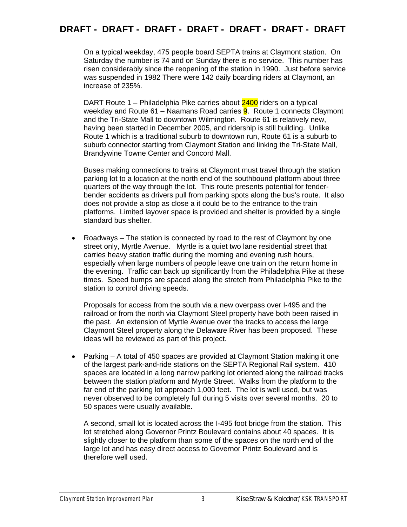On a typical weekday, 475 people board SEPTA trains at Claymont station. On Saturday the number is 74 and on Sunday there is no service. This number has risen considerably since the reopening of the station in 1990. Just before service was suspended in 1982 There were 142 daily boarding riders at Claymont, an increase of 235%.

DART Route 1 – Philadelphia Pike carries about 2400 riders on a typical weekday and Route 61 – Naamans Road carries **9**. Route 1 connects Claymont and the Tri-State Mall to downtown Wilmington. Route 61 is relatively new, having been started in December 2005, and ridership is still building. Unlike Route 1 which is a traditional suburb to downtown run, Route 61 is a suburb to suburb connector starting from Claymont Station and linking the Tri-State Mall, Brandywine Towne Center and Concord Mall.

Buses making connections to trains at Claymont must travel through the station parking lot to a location at the north end of the southbound platform about three quarters of the way through the lot. This route presents potential for fenderbender accidents as drivers pull from parking spots along the bus's route. It also does not provide a stop as close a it could be to the entrance to the train platforms. Limited layover space is provided and shelter is provided by a single standard bus shelter.

• Roadways – The station is connected by road to the rest of Claymont by one street only, Myrtle Avenue. Myrtle is a quiet two lane residential street that carries heavy station traffic during the morning and evening rush hours, especially when large numbers of people leave one train on the return home in the evening. Traffic can back up significantly from the Philadelphia Pike at these times. Speed bumps are spaced along the stretch from Philadelphia Pike to the station to control driving speeds.

Proposals for access from the south via a new overpass over I-495 and the railroad or from the north via Claymont Steel property have both been raised in the past. An extension of Myrtle Avenue over the tracks to access the large Claymont Steel property along the Delaware River has been proposed. These ideas will be reviewed as part of this project.

• Parking – A total of 450 spaces are provided at Claymont Station making it one of the largest park-and-ride stations on the SEPTA Regional Rail system. 410 spaces are located in a long narrow parking lot oriented along the railroad tracks between the station platform and Myrtle Street. Walks from the platform to the far end of the parking lot approach 1,000 feet. The lot is well used, but was never observed to be completely full during 5 visits over several months. 20 to 50 spaces were usually available.

A second, small lot is located across the I-495 foot bridge from the station. This lot stretched along Governor Printz Boulevard contains about 40 spaces. It is slightly closer to the platform than some of the spaces on the north end of the large lot and has easy direct access to Governor Printz Boulevard and is therefore well used.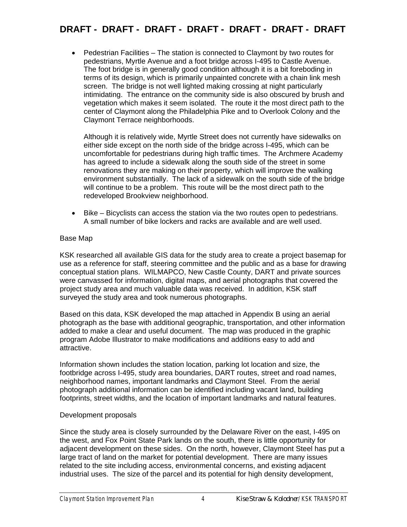• Pedestrian Facilities – The station is connected to Claymont by two routes for pedestrians, Myrtle Avenue and a foot bridge across I-495 to Castle Avenue. The foot bridge is in generally good condition although it is a bit foreboding in terms of its design, which is primarily unpainted concrete with a chain link mesh screen. The bridge is not well lighted making crossing at night particularly intimidating. The entrance on the community side is also obscured by brush and vegetation which makes it seem isolated. The route it the most direct path to the center of Claymont along the Philadelphia Pike and to Overlook Colony and the Claymont Terrace neighborhoods.

Although it is relatively wide, Myrtle Street does not currently have sidewalks on either side except on the north side of the bridge across I-495, which can be uncomfortable for pedestrians during high traffic times. The Archmere Academy has agreed to include a sidewalk along the south side of the street in some renovations they are making on their property, which will improve the walking environment substantially. The lack of a sidewalk on the south side of the bridge will continue to be a problem. This route will be the most direct path to the redeveloped Brookview neighborhood.

• Bike – Bicyclists can access the station via the two routes open to pedestrians. A small number of bike lockers and racks are available and are well used.

#### Base Map

KSK researched all available GIS data for the study area to create a project basemap for use as a reference for staff, steering committee and the public and as a base for drawing conceptual station plans. WILMAPCO, New Castle County, DART and private sources were canvassed for information, digital maps, and aerial photographs that covered the project study area and much valuable data was received. In addition, KSK staff surveyed the study area and took numerous photographs.

Based on this data, KSK developed the map attached in Appendix B using an aerial photograph as the base with additional geographic, transportation, and other information added to make a clear and useful document. The map was produced in the graphic program Adobe Illustrator to make modifications and additions easy to add and attractive.

Information shown includes the station location, parking lot location and size, the footbridge across I-495, study area boundaries, DART routes, street and road names, neighborhood names, important landmarks and Claymont Steel. From the aerial photograph additional information can be identified including vacant land, building footprints, street widths, and the location of important landmarks and natural features.

### Development proposals

Since the study area is closely surrounded by the Delaware River on the east, I-495 on the west, and Fox Point State Park lands on the south, there is little opportunity for adjacent development on these sides. On the north, however, Claymont Steel has put a large tract of land on the market for potential development. There are many issues related to the site including access, environmental concerns, and existing adjacent industrial uses. The size of the parcel and its potential for high density development,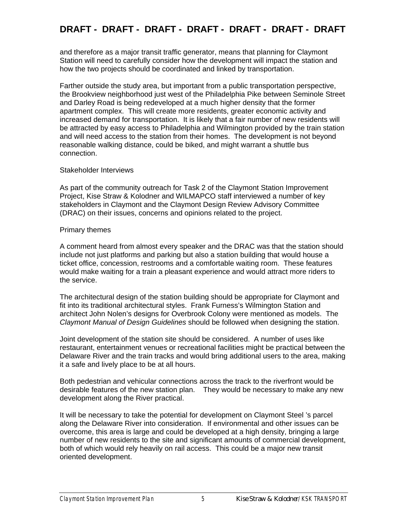and therefore as a major transit traffic generator, means that planning for Claymont Station will need to carefully consider how the development will impact the station and how the two projects should be coordinated and linked by transportation.

Farther outside the study area, but important from a public transportation perspective, the Brookview neighborhood just west of the Philadelphia Pike between Seminole Street and Darley Road is being redeveloped at a much higher density that the former apartment complex. This will create more residents, greater economic activity and increased demand for transportation. It is likely that a fair number of new residents will be attracted by easy access to Philadelphia and Wilmington provided by the train station and will need access to the station from their homes. The development is not beyond reasonable walking distance, could be biked, and might warrant a shuttle bus connection.

#### Stakeholder Interviews

As part of the community outreach for Task 2 of the Claymont Station Improvement Project, Kise Straw & Kolodner and WILMAPCO staff interviewed a number of key stakeholders in Claymont and the Claymont Design Review Advisory Committee (DRAC) on their issues, concerns and opinions related to the project.

#### Primary themes

A comment heard from almost every speaker and the DRAC was that the station should include not just platforms and parking but also a station building that would house a ticket office, concession, restrooms and a comfortable waiting room. These features would make waiting for a train a pleasant experience and would attract more riders to the service.

The architectural design of the station building should be appropriate for Claymont and fit into its traditional architectural styles. Frank Furness's Wilmington Station and architect John Nolen's designs for Overbrook Colony were mentioned as models. The *Claymont Manual of Design Guidelines* should be followed when designing the station.

Joint development of the station site should be considered. A number of uses like restaurant, entertainment venues or recreational facilities might be practical between the Delaware River and the train tracks and would bring additional users to the area, making it a safe and lively place to be at all hours.

Both pedestrian and vehicular connections across the track to the riverfront would be desirable features of the new station plan. They would be necessary to make any new development along the River practical.

It will be necessary to take the potential for development on Claymont Steel 's parcel along the Delaware River into consideration. If environmental and other issues can be overcome, this area is large and could be developed at a high density, bringing a large number of new residents to the site and significant amounts of commercial development, both of which would rely heavily on rail access. This could be a major new transit oriented development.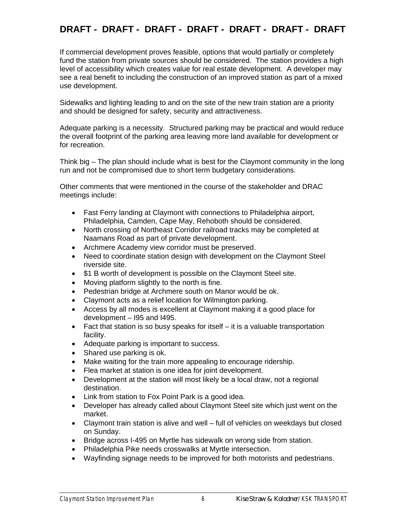If commercial development proves feasible, options that would partially or completely fund the station from private sources should be considered. The station provides a high level of accessibility which creates value for real estate development. A developer may see a real benefit to including the construction of an improved station as part of a mixed use development.

Sidewalks and lighting leading to and on the site of the new train station are a priority and should be designed for safety, security and attractiveness.

Adequate parking is a necessity. Structured parking may be practical and would reduce the overall footprint of the parking area leaving more land available for development or for recreation.

Think big – The plan should include what is best for the Claymont community in the long run and not be compromised due to short term budgetary considerations.

Other comments that were mentioned in the course of the stakeholder and DRAC meetings include:

- Fast Ferry landing at Claymont with connections to Philadelphia airport, Philadelphia, Camden, Cape May, Rehoboth should be considered.
- North crossing of Northeast Corridor railroad tracks may be completed at Naamans Road as part of private development.
- Archmere Academy view corridor must be preserved.
- Need to coordinate station design with development on the Claymont Steel riverside site.
- \$1 B worth of development is possible on the Claymont Steel site.
- Moving platform slightly to the north is fine.
- Pedestrian bridge at Archmere south on Manor would be ok.
- Claymont acts as a relief location for Wilmington parking.
- Access by all modes is excellent at Claymont making it a good place for development – I95 and I495.
- Fact that station is so busy speaks for itself it is a valuable transportation facility.
- Adequate parking is important to success.
- Shared use parking is ok.
- Make waiting for the train more appealing to encourage ridership.
- Flea market at station is one idea for joint development.
- Development at the station will most likely be a local draw, not a regional destination.
- Link from station to Fox Point Park is a good idea.
- Developer has already called about Claymont Steel site which just went on the market.
- Claymont train station is alive and well full of vehicles on weekdays but closed on Sunday.
- Bridge across I-495 on Myrtle has sidewalk on wrong side from station.
- Philadelphia Pike needs crosswalks at Myrtle intersection.
- Wayfinding signage needs to be improved for both motorists and pedestrians.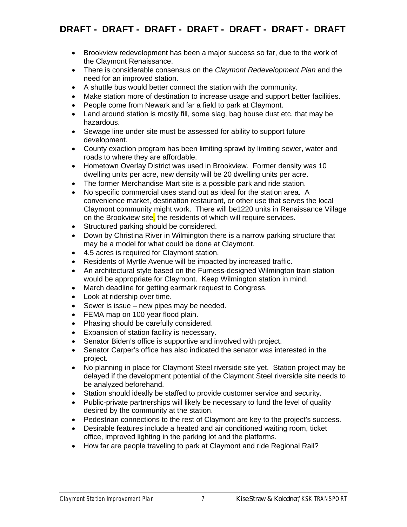- Brookview redevelopment has been a major success so far, due to the work of the Claymont Renaissance.
- There is considerable consensus on the *Claymont Redevelopment Plan* and the need for an improved station.
- A shuttle bus would better connect the station with the community.
- Make station more of destination to increase usage and support better facilities.
- People come from Newark and far a field to park at Claymont.
- Land around station is mostly fill, some slag, bag house dust etc. that may be hazardous.
- Sewage line under site must be assessed for ability to support future development.
- County exaction program has been limiting sprawl by limiting sewer, water and roads to where they are affordable.
- Hometown Overlay District was used in Brookview. Former density was 10 dwelling units per acre, new density will be 20 dwelling units per acre.
- The former Merchandise Mart site is a possible park and ride station.
- No specific commercial uses stand out as ideal for the station area. A convenience market, destination restaurant, or other use that serves the local Claymont community might work. There will be1220 units in Renaissance Village on the Brookview site, the residents of which will require services.
- Structured parking should be considered.
- Down by Christina River in Wilmington there is a narrow parking structure that may be a model for what could be done at Claymont.
- 4.5 acres is required for Claymont station.
- Residents of Myrtle Avenue will be impacted by increased traffic.
- An architectural style based on the Furness-designed Wilmington train station would be appropriate for Claymont. Keep Wilmington station in mind.
- March deadline for getting earmark request to Congress.
- Look at ridership over time.
- Sewer is issue new pipes may be needed.
- FEMA map on 100 year flood plain.
- Phasing should be carefully considered.
- Expansion of station facility is necessary.
- Senator Biden's office is supportive and involved with project.
- Senator Carper's office has also indicated the senator was interested in the project.
- No planning in place for Claymont Steel riverside site yet. Station project may be delayed if the development potential of the Claymont Steel riverside site needs to be analyzed beforehand.
- Station should ideally be staffed to provide customer service and security.
- Public-private partnerships will likely be necessary to fund the level of quality desired by the community at the station.
- Pedestrian connections to the rest of Claymont are key to the project's success.
- Desirable features include a heated and air conditioned waiting room, ticket office, improved lighting in the parking lot and the platforms.
- How far are people traveling to park at Claymont and ride Regional Rail?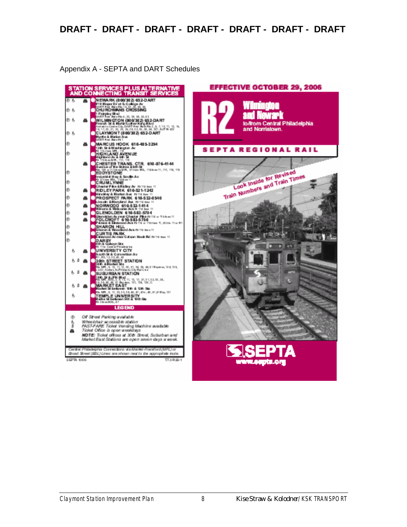Appendix A - SEPTA and DART Schedules



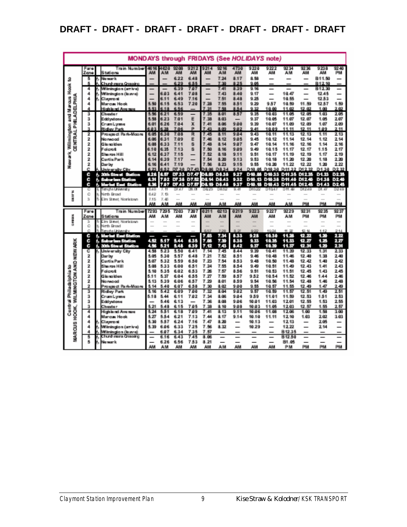|                       |                    |    | MONDAYS through FRIDAYS (See HOLIDAYS note)    |                |                  |               |               |               |                |                          |                    |                 |                    |                  |                |                        |
|-----------------------|--------------------|----|------------------------------------------------|----------------|------------------|---------------|---------------|---------------|----------------|--------------------------|--------------------|-----------------|--------------------|------------------|----------------|------------------------|
|                       | Fare<br>Zone       |    | Train Number<br>S tuti cina                    | 46.16<br>AM    | 4820<br>AМ       | 92 08<br>AM   | 9:21:21<br>AM | 9214<br>AM    | 92.16<br>AM    | 4730<br>AM               | 9220<br>AМ         | 9222<br>AM      | 92 34<br>AМ        | 92.36<br>AМ      | 9238<br>AИ     | 92.40<br>PM            |
| 3                     | Æ,                 |    | Marwarnia.                                     |                |                  | 6.22          | 6.48          | ÷             | 7.34           | 8.17                     | 8.58               | $\equiv$        | ÷.                 | $\equiv$         | 811.50         | ÷.                     |
|                       | ą,                 |    | Church mana Grossino                           |                |                  | 8.99          | 医风风           |               | 7.30           | 8.25                     | 9.05               |                 |                    |                  | 812.10         | ÷                      |
| Hook <sub>1</sub>     | 4                  |    | Williminstic n (amik al)                       |                |                  | 6.39          | 7.07          |               | 7.41           | 8.39                     | 9.18               |                 |                    |                  | B1230          |                        |
| ٩                     | 4<br>4             |    | Wilimington (iuww)<br>Claveront                |                | 6.03<br>6.11     | 6.41<br>6.49  | 7.08<br>7.16  |               | 7.43<br>7.51   | 8.40<br>8.48             | 9.17<br>9.25       | ÷.              | 10.47<br>10.55     |                  | 12.45<br>12.53 | -<br>÷.                |
|                       | 4                  |    | Marcus Hook                                    | 5.50           | 6.15             | 6.53          | 7.20          | 7.28          | 7.55           | 8.51                     | 9.29               | 9.57            | 10.59              | 11.59            | 12.57          | 1.59                   |
| Marcus<br>PHILADELPHI | 4                  |    | filiatulis nel Avva nuva                       | 8,83,          | 6.18             | 8.58          |               | 更良地           | 7.58           | 8.54                     | 9.32               | 10.00           | 11.02              | 12.02            | 1.00           | 2.82                   |
|                       | ä.                 |    | Chaster :                                      | 5.58           | 6.21             | 6.59          |               | 7.35          | 8.01           | 8.57                     | 9.35               | 10.03           | 11.05              | 12.05            | 1.03           | 205                    |
| Ţ                     | ä.                 |    | Eddwytona                                      | 5.58           | 8.23             | 7.01          | 囲             | 7.38          | 8.03           |                          | 9.37               | 10.05           | 11.07              | 12.07            | 1.05           | 2.07                   |
|                       | ä,<br>Ň.           |    | Crum Lynna                                     | 6.01           | 6.26<br>-98      | 7.04          | X<br>朣        | 7.40<br>7.43  | 8.08           | 9.00                     | 9.39               | 10.07           | 11.09              | 12.09<br>42.44   | 1.07           | 2.09                   |
| Williaminghom         | 2                  |    | Niciay Park<br>Prosesuat Park-Maoru            | 6.03<br>6.05   | 6.30             | 7.06<br>7.08  | R             | 7.45          | 8.09<br>8.11   | 9.02<br>9.04             | 9.49<br>943        | 10.09<br>10.11  | 11.11<br>11.13     | 12.13            | 1.09<br>1.11   | 2.99<br>213            |
| <b>CENTRAL</b>        | 2                  |    | Manwaradi                                      | 6.06           | 6.31             | 7.09          | 圓             | 7.48          | 8.12           | 9.05                     | 9.45               | 10.12           | 11.14              | 12.14            | 1.12           | 2.14                   |
|                       | 2                  |    | Gibrao ideas                                   | 6.08           | 6.33             | 7.11          | 扅             | 7.48          | 8.14           | 9.07                     | 9.47               | 10.14           | 11.16              | 12.16            | 1.14           | 2 制                    |
|                       | 2.                 |    | l'alamit                                       | 6.10           | 6.35             | 7.13          | 茵             | 7.50          | 8.16           | 9.89                     | 9.49               | 10.15           | 11.17              | 12.17            | 1.15           | 2.17                   |
|                       | ğ.                 |    | Silva rom 14 il                                | 6.12           | 6.37             | 平田県           |               | 7.82          | 8, 18,         | 9.99                     | 9.51               | 10.17           | 11.99              | 12.19            | 1.17           | 2.99                   |
| <b>New arts</b>       | 2                  |    | Curtis Park                                    | 6.14           | 8.39             | 7.17          |               | 7.54          | 8.20<br>8.23   | 9.13                     | 9.53<br>9.55       | 10.18           | 11.20              | 12 20<br>12 22   | 1.18           | 2.20<br>2.22           |
|                       | 2<br>Ø.            |    | <b>Durby</b><br>Jak <u>ars</u> by City         | 6.16<br>6, 23, | 8.41<br>ă.<br>52 | 7.19<br>D7 30 | D7.43         | 7.50<br>D8 06 | D8.34          | 9.15<br>9.24             | D-10.05            | 10.20<br>D10.38 | 11.22<br>D11.32    | D12.32           | 1.20<br>D138   | D2 32                  |
|                       | 89                 |    | 4. Statu Statute<br><b>Continue</b>            | 3. PO 1        | 35 F             | n a sa        | IO FIN        | 17,500        | 107. ST 3      | 33. POP                  | <b>NEO ARTIS</b>   | <b>KADARA</b>   | <b>KATINA KIRA</b> |                  | <b>IN ROA</b>  | n Sakata               |
|                       | ÿ.                 |    | St Jan Brint St                                | 7. J.T         | PD 19            | KA 50         | ny Lio        | KO MET        | 107. J.K.      | 33,572                   | n ann.<br>63       | KADARA          | KT T<br>55         | IG RADI          | DH 33          | <b>TANKS</b>           |
|                       | 93                 |    | Martin Albert<br><b>Continue</b>               | 30             | n Ti             | n e pr        | in Lo         | ng Ta         | 108.GM         | 39. V                    | <b>DESCRIPTION</b> | IN DAN          | <b>KATEL</b>       | <b>NORTH</b>     | KN SK.         | TO SEE                 |
| p                     |                    |    | Terrete University                             | 6.40           |                  | DE 43         | DO. DO        | D623          | Dill 52        | o al                     | DI 0.552           | Det frida       | DH.B               | metras           | D1. 61         | D2 49                  |
| į                     | Ø.<br>ä            | ß. | <b>North Dread</b><br>Eine Statet, Niceristown | 8.42<br>7.15   | 7.49<br>T, d0    | ÷.            | $\sim$        |               |                | a.                       |                    |                 |                    |                  | ÷.             | ÷                      |
|                       |                    |    |                                                |                |                  | AИ            | AМ            | AМ            | AМ             |                          | AМ                 | AИ              | AМ                 |                  |                |                        |
|                       |                    |    |                                                | AМ             | AМ               |               |               |               |                | AИ                       |                    |                 |                    | PM               | PM             | PM                     |
|                       | Fare               |    | l'min Numbe                                    | 7293           | 7995             | 28            | 7 20 °        | 0211          | 02 I S         | 0219                     | 9228               | 9:22.1          | 9229               | 92.31            | 92.35          | 92.3                   |
|                       | Zana               |    | Stations                                       | AM             | AM.              | AM            | AМ            | AM            | AM <sub></sub> | AM                       | AM                 | AM              | AM                 | PM               | PM             | PM                     |
| in Balti              | s                  | ь  | Eins Statet, Noristown                         |                |                  | $\sim$        | $\sim$        |               |                |                          |                    |                 |                    | $\sim$           | $\sim$         | -                      |
| n.                    | Ō.                 |    | Nicrth Eireach                                 |                |                  |               |               |               |                |                          |                    |                 |                    |                  |                | ÷                      |
|                       | χή.<br>93          | p, | Terret a University                            |                |                  |               |               | 6.67<br>P. TE | 7.5%<br>M SP.  | 8.57<br>31. J.H          | 9,552<br>1995)     | 10.24<br>1080   | $+1.52$<br>99 B.Z  | 12.14<br>12,200  | 1.12<br>1.80   | 244<br>apo.            |
|                       | 79                 |    | 6. Marton Basi Stadion<br>or ta akin Mitalian  | e pro          | E TE             | 11. J J       | S.XL          | R TO          | , gant         | 31.NE                    | 37,570             | n yang          | n nav              | (PLK)            | ņЮ,            | 20 J                   |
|                       | 33                 |    | 200 h Roman Roadhay                            | - 159          | . pr             | 11.EK         | 33 O.         | р.            | n a            | 31. PO                   | 3 M 7 7            | 1180)           | n na a             | n an             | 133            | XX                     |
|                       | c                  |    | University City                                | 4.58           | 5.23             | 5.50          | 6.41          | 7.14          | 7.45           | 8.44                     | 9.39               | 10.41           | 11.29              | 12 33            | 1.31           | 2.33                   |
| <b>NEWARK</b>         | $\mathbf{2}$       |    | <b>Durby</b>                                   | 5.05           | 5.30             | 5.57          | 6.48          | 7.21          | 7.52           | 8.51                     | 9.46               | 10.48           | 11.46              | 12.40            | 1.38           | 2.40                   |
|                       | $\bar{\mathbf{z}}$ |    | Contile Park                                   | 5.07           | 5.32             | 5.59          | 6.50          | 7.23          | 7.54           | 8.53                     | 9.48               | 10.50           | 11.48              | 12.42            | 1.40           | 2.42                   |
| 2                     | ğ.<br>$\bar{2}$    |    | Silva area Milli<br>Folorati                   | 5.08<br>5.50   | 5.33<br>5.35     | 6.00<br>6.02  | 6.51<br>6.53  | 7.24<br>7.36  | 7.55<br>7.57   | 8.54<br>8.56             | 9.40<br>9.50       | 10.59<br>10.53  | 11.49<br>11.58     | 12, 43,<br>12.45 | 1,48<br>4.43   | 2.43<br>245            |
|                       | 2                  |    | Gilgapitian                                    | 5.11           | 5.37             | 6.04          | 6.55          | 7.27          | 7.59           | 8.57                     | 9.52               | 10.54           | 11.52              | 12.48            | 1.44           | 248                    |
|                       | Ž.                 |    | Manwaadi                                       | 5.13           | 5.39             | 6.06          | 6.57          | 7.29          | 8.01           | 8.59                     | 9.54               | 10.56           | 11.54              | 12.48            | 1.46           | 2.48                   |
|                       | 2.                 |    | hrouga at Pant-Moore                           | 5.14           | 5.40             | 6.07          | 6.58          | 7.30          | 8.02           | 9.00                     | 9.55               | 10.57           | 11.55              | 12.49            | 1.47           | 249                    |
|                       | ä.                 |    | Rider Park                                     | 5.16           | 5.42             | 6.09          | 7.00          | 7.32          | 8.04           | 9.02                     | 9.57               | 10.59           | 11.57              | 12.51            | 1.49           | 251                    |
| 通信書の理由                | ä.                 |    | Crum Lyma                                      | 5.18           | 5.44             | 6.11          | 7.02          | 7.34          | 8.06           | 9.04                     | 9.59               | 11.01           | 11.59              | 12.53            | 1.51           | 2.53                   |
| <b>WILMINGTON AND</b> | ä.<br>ä,           |    | Exitiyations<br>Charata n                      | 5.29           | 5.48<br>5.48     | 6.13<br>6.15  | 7.85          | 7.36<br>7.38  | 8.08<br>8.10   | 9.06<br>9.88             | 10.01<br>10.03     | 11.03<br>11.05  | 12.01<br>12.03     | 12.55<br>12.57   | 1.53<br>1.55   | 2.55<br>2.57           |
|                       | 4                  |    | Michila ad Avenue                              | 5.24           | 5.51             | 6.18          | 7.09          | 7.41          | 8.13           | 9.11                     | 10.06              | 11.08           | 12.08              | 1.00             | 1.58           | 3.00                   |
| 医血管炎<br>HOOK,         | 4                  |    | Marcus Hook                                    | 5.27           | 5.54             | 6.21          | 7.13          | 7.44          | 8.17           | 9.14                     | 10.10              | 11.11           | 12.10              | 1.03             | 2.02           | 3.03                   |
|                       | 4                  | 6  | Claymont                                       | 5.30           | 5.57             | 6.24          | 7.16          | 7.47          | 8.20           |                          | 10:13              |                 | 12.13              |                  | 2.05           |                        |
|                       | 4                  |    | Wilimington (amien)                            | 5.39           | 8.88             | 6.33          | 7.25          | 7.58          | 8.32           | $\overline{\phantom{0}}$ | 10.29              |                 | 12.22              | $\equiv$         | 2.14           | -                      |
|                       | 4<br>Ą,            |    | Wilmington (in ava)<br>Ghurch mana Grossing    |                | 6.07<br>8. TR    | 6.34          | 7.35          | 7.57          |                |                          |                    |                 | B12.35             |                  |                |                        |
| <b>MARCHS</b>         | 掲.                 |    | Marwards                                       |                | 6.26             | 6.43<br>6.56  | 745<br>7.53   | 8.06<br>8.21  |                |                          |                    |                 | B12.50<br>B1.05    |                  |                | ÷<br><u>Link</u><br>PM |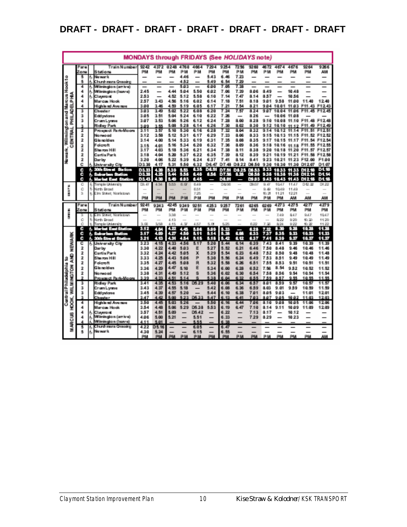|                                  | <b>MONDAYS through FRIDAYS (See HOLIDAYS note)</b> |    |                                           |               |               |              |              |                          |              |                     |              |                |              |                |                 |                                         |                   |
|----------------------------------|----------------------------------------------------|----|-------------------------------------------|---------------|---------------|--------------|--------------|--------------------------|--------------|---------------------|--------------|----------------|--------------|----------------|-----------------|-----------------------------------------|-------------------|
|                                  | Fare                                               |    | Frain Number                              | 92.42         | 4372          | 0248         | 4760         | 4864                     | 7294         | 9254                | 7256         | 9260           | 48.72        | 4674           | 4676            | 9264                                    | 9266              |
| cook to                          | Zone                                               |    | Stationa                                  | PM            | PM            | PM           | PМ           | РM                       | PM           | PM                  | PМ           | PM             | РM           | PM             | ΡM              | PM                                      | AM                |
|                                  | s<br>5                                             | Ь  | Na wark<br>Church mura Greasing           |               | -             | —            | 4.46<br>4.52 | $\overline{\phantom{0}}$ | 5.43<br>5.49 | 6.46<br>6.54        | 7.23<br>7.20 |                |              |                |                 |                                         | -                 |
|                                  | 4                                                  | ß, | Wilmington (amive)                        |               |               |              | 5.03         |                          | 6.00         | 7.05                | 7.38         |                |              |                |                 |                                         |                   |
|                                  | 4                                                  |    | Wilmington (kuw s)                        | 2.45          |               | 4.44         | 5.04         | 5.50                     | 6.02         | 7.06                | 7.39         | 8.06           | 8.49         |                | 10.48           |                                         |                   |
|                                  | 4                                                  | ß. | Claymont                                  | 253           |               | 4.52         | 5.12         | 5.58                     | 6.10         | 7.14                | 7.47         | 8.14           | 8.57         |                | 10.56           |                                         |                   |
| on and Marcus H<br>PHILADELPHIA  | 4<br>4                                             |    | Marcus Hook                               | 257<br>3.00   | 3.43<br>3.46  | 4.56<br>4.59 | 5.16<br>5.19 | 6.02<br>6.05             | 6.14<br>6.17 | 7.18<br>7.21        | 7.51<br>7.54 | 8.18<br>8.21   | 9.01<br>984  | 9.58           | 11.00<br>11.03  | 1.40<br>۰<br>F11<br>43                  | 12.40<br>F12.43   |
|                                  | 3                                                  |    | High is nd Avenue<br>Chester              | 3.03          | 3.49          | 5.02         | 5.22         | 6.08                     | 6.20         | 7.24                | 7.57         | 8.24           | 9.07         | 10.01<br>10.04 | 11.06           | 45                                      | F1245             |
|                                  | s                                                  |    | Eddywtone                                 | 3.05          | 3.51          | 5.04         | 5.24         | 6.10                     | 6.22         | 7.26                |              | 8.26           |              | 10.06          | 11.08           |                                         |                   |
|                                  | з                                                  |    | Crum Lynna                                | 3.07          | 3.53          | 5.06         | 5.26         | 6.12                     | 6.24         | 7.28                | 8.00         | 8.28           | 9.10         |                | 10.08 11.10 F11 | 48                                      | F12.48            |
| Ý                                |                                                    |    | Ridley Park                               | 3.09          | 3.55          | 5.08         | 5.28         | 6.14                     | 6.26         | 7.30                | 8.02         | 8.30           | 9.12         | 10.10 11.12    |                 | F11<br>æ                                | F1249             |
| ENTRAL                           | 2<br>Ž                                             |    | Proxauct Park-Moonu<br>Nanwaad            | 3.11<br>3.12  | 3.57<br>3.58  | 5.10<br>5.12 | 5.30<br>5.31 | 6.16<br>6.17             | 6.28<br>6.29 | 7.32<br>7.33        | 8.04<br>8.06 | 832<br>8.33    | 9.14<br>9.15 | 10.12          | 11.14           | F11.<br>51<br>10.13 11.15 F11.52 F12.52 | F12.51            |
| ŝ                                | 2                                                  |    | Giunoiden                                 | 3.14          | 4.00          | 5.14         | 5.33         | 6.19                     | 6.31         | 7.35                | 8.08         | 8.35           | 9.17         |                |                 | 10.15 11.17 F11.54                      | F12.54            |
|                                  | 2                                                  |    | Falaraft                                  | 3.15          | 4.01          | 5.16         | 534          | 6.20                     | 6.32         | 7.36                | 8.09         | 8.36           | 9.18         | 10.16          | 11.18           | F11.55 F12.55                           |                   |
|                                  | 2                                                  |    | Simmon Mill                               | 3.17          | 4.03          | 5.18         | 5.36         | 6.21                     | 6.34         | 7.38                | 8.11         | 8.38           | 9.20         |                |                 | 10.18 11.20 F11.57 F12.57               |                   |
| Newark.                          | 2                                                  |    | Curtis Park                               | 3.18          | 4.04          | 5.20         | 5.37         | 6.22<br>6.24             | 6.35<br>6.37 | 7.39                | 8.12         | 8.39           | 9.21         |                | 10.19 11.21     | F11.58 F12.58                           |                   |
|                                  | 2<br>c                                             |    | Durby<br>University City                  | 3.20<br>D3.30 | 4.06<br>4.17  | 5.22<br>5.31 | 5.39<br>5.50 | 6.32                     |              | 7.41<br>D6.47 D7.48 | 8.14<br>D822 | 8.41<br>D6.50  | 9.23<br>930  | 10.21<br>10.30 | 11.30           | 11.23 F12.00<br>D12.07                  | F1.00<br>D1.07    |
|                                  | c                                                  |    | 6 30th Street Station                     | 03.33         | 4.20          | 5.30         | N.V          | 6.35                     | D6.51        | D7.51               | D8.25        | <b>TOTALS:</b> | 333          | 10.33          | 41.33           | ni 9 M                                  | D <sub>1.10</sub> |
|                                  | c                                                  | Ł. | Suburbin Station                          | D3.33         | 4,25          | 5.44         | 5.58         | 6.40                     | 8.56         | D7.58               | 8.28         | DS.58          | 938          | 10.38          | 1138            | D1214                                   | <b>D1.14</b>      |
|                                  | c                                                  |    | 6. Market East<br><b>Stadbo</b>           | D3.43         | 4.30          | 5.40         | 8.08         | 6.45                     |              | D6.01               |              | 109.083        |              |                |                 | 9.43 10.43 11.43 D12.18                 | D <sub>1.18</sub> |
|                                  |                                                    | Б  | Temple University<br>6 North Broad        | CO. 47        | 4.54          | 5.53         | 6.08         | 6.49<br>6.51             |              | D606                |              | <b>199.00</b>  | 9.47<br>0.49 | 1047<br>1049   | 11.47<br>11.49  | 042.32                                  | D4.92             |
| mark<br>H                        | c<br>51                                            |    | <b>Circ Street Noristown</b>              | -             |               |              |              | 7.25                     |              |                     |              |                | 10.21        | 11.21          | 12.21           |                                         | -                 |
|                                  |                                                    |    |                                           | PM            | PM            | PM           | PМ           | РM                       | PM           | PM                  | РM           | PM             | РM           | PM             | AM              | AM                                      | AM                |
|                                  |                                                    |    |                                           |               |               |              |              |                          |              |                     |              |                |              |                |                 |                                         |                   |
|                                  | Fare                                               |    | Frain Number                              | 9241          | 9243          | 4245         | 9249         | 92.51                    | 4253         | 9257                | 7261         | 0265           | 02.09        | 4273           | 4275            | 4277                                    | 4279              |
|                                  | Zone                                               |    | Stationa                                  | PM            | PM            | PM           | ₽м           | PМ                       | PM           | ΡM                  | РM           | ΡM             | ₽м           | PM             | PM              | PM                                      | PM                |
| Ř                                |                                                    |    | Ein Steet Noristown                       |               |               | 5.50         |              |                          |              |                     |              |                |              | <b>T49</b>     | 847             | 9.47                                    | 1047              |
|                                  | c                                                  | Б  | North Broad                               |               |               | 4.13         |              |                          |              |                     |              |                |              | 8.22           | 9.20            | 10.50                                   | 11.20             |
|                                  | ō<br>c                                             |    | Temple Universi<br>6. Markat East Station | 3.00<br>3.12  | 350           | 4.15<br>4.22 | 4.58         | 4.57<br>5.06             | 5.01<br>5.00 | 5.25                |              | 6.22<br>8.28   | 7.30         | 824<br>3.30    | 9.22<br>0.28    | 10.22<br>10.23                          | 11.22<br>11.28    |
|                                  | c                                                  | r. | Suburbin Station                          | 3.17          | 쌻             | 4.27         | 445<br>4.50  | 5.44                     | 5.14         | 5,88<br>5,83        | an.          | 6.33           | 7.32<br>ź.   | 3.35           | 0.33            | 10.33                                   | 11.33             |
|                                  | c                                                  | ь  | 30th Strust Station                       | 3.21          | 48            | <b>CENT</b>  | 4.54         | 5.15                     |              | 5.18 5.42           | <b>4.12</b>  | 837            | 7.41         | 8.39           | 31.377          | 10.37                                   | 11.37             |
|                                  | c                                                  |    | 6 University City                         | 3.23          | 4.15          | 4.33         | 4.56         |                          | 5.20         | 5.44                | 6.14         | 6.39           | 7.43         | 8.41           | 9.30            | 10.39                                   | 11.39             |
| NEWARK                           | 2                                                  |    | Durby                                     | 3.30          | 4.22          | 4.40         | 5.03         | Ε                        | 5.27<br>5.29 | 5.52                | 6.21         | 6.46<br>6.48   | 7.50<br>752  | 8.48           | 9.46<br>9.48    | 10.46                                   | 11.46<br>11.48    |
|                                  | 2<br>Ž                                             |    | Curtis Park<br>Simmon Mill                | 3.32<br>333   | 4.24<br>4.25  | 4.42<br>4.43 | 5.05<br>5.06 | x                        | 5.30         | 5.54<br>5.56        | 6.23<br>6.24 | 6.49           | 753          | 8.50<br>8.51   | 9.49            | 10.48<br>10.49                          | 11.49             |
| ş<br>2                           | 2                                                  |    | falamit                                   | 3.35          | 427           | 4.45         | 5.08         | R                        | 5.32         | 5.58                | 6.26         | 6.51           | 7.55         | 8.53           | 9.51            | 10.51                                   | 11.51             |
|                                  | Ž                                                  |    | Glunolden                                 | 3.36          | 4.29          | 4.47         | 5.10         |                          | 5.34         | 6.00                | 6.28         | 6.52           | 7.56         | 8.54           | 9.52            | 10.52                                   | 11.52             |
|                                  | 2                                                  |    | Namwaadi                                  | 3.38          | 4.31          | 4.49         | 5.12         | 8                        | 536          | 6.02                | 6.30         | 6.54           | 7.58         | 8.56           | 9.54            | 10.54                                   | 11.54             |
| <b>Adaptive</b><br><b>INGTON</b> |                                                    |    | hawaict Park-Moon                         | 3.39          | 4.33          | 4.51         | 14           |                          | 5.38         | 6.04                | 6.32         | 6.55           | 7.59         | 8.57           | 9.55            | 10.55                                   | 11.55             |
|                                  | 3<br>з                                             |    | Ridley Park<br>Crum Lynna                 | 3.41<br>3.43  | 4.35<br>4.37  | 4.53<br>4.55 | 5.16<br>5.18 | DS 29                    | 5.40<br>5.42 | 6.06<br>6.08        | 6.34<br>6.36 | 6.57<br>6.59   | 8.01<br>8.03 | 8.59<br>9.01   | 2.57<br>9.59    | 10.57<br>10.59                          | 11.57<br>11.59    |
| Š                                | ã                                                  |    | Eddystone                                 | 3.45          | 4.39          | 4.57         | 5.20         |                          | 5.44         | 6.10                | 6.38         | 7.01           | 8.05         | 9.03           |                 | 11.01                                   | 12.01             |
|                                  | 食                                                  |    | Chester                                   | 3.47          | 4.42          | 5.00         | 23           | 05.3                     | 5.47         | 6.53                | 6.41         | 7.03           | 8.07         | 9.05           | 10.02           | 11.03                                   | 12.03             |
| Contral Phil                     | 4                                                  |    | Mighliand Avenue                          | 3.50          | 4.45          | 5.03         | 5.26         |                          | 5.50         | 6.16                | 6.44         | 7.06           | 8.10         | 9.08           | 10.05           | 11.06                                   | 12.06             |
| HOOK.                            | 4                                                  |    | Marcus Hook                               | 3.54          | 4.48          | 5.06         | 5.29         | D5.38                    | 5.53         | 6.19                | 6.47         | 7.10           | 8.14         | 9.11           | 10.09           | 11.09                                   | 12.09             |
|                                  | 4                                                  | Ь  | Claymont<br>Wilmington (arrive)           | 3.57<br>4.06  | 4.51<br>5.00  | 5.09<br>5.21 |              | D5.42<br>5.51            |              | 6.22<br>8.33        |              | 7.13<br>7.29   | 8.17<br>8.29 |                | 10.12<br>1023   |                                         | -                 |
| S18                              |                                                    |    | Wilmington (kuwe)                         | 4.11          | 5.01          |              |              | 5.55                     |              | 6.38                |              |                |              |                |                 |                                         |                   |
| MAR                              | s.                                                 |    | & Church mura Greesing<br>No wark         | 4.22<br>430   | 05.16<br>5.24 |              |              | 6.05<br>6.15             |              | 6.47<br>6.55        |              |                |              |                |                 |                                         | -                 |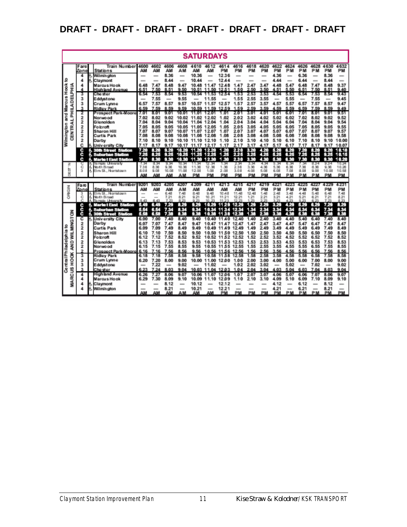|                                 | <b>SATURDAYS</b>            |                                                                                      |                                        |                              |                              |                                          |                                               |                                        |                                      |                                          |                              |                              |                               |                                        |                                                  |                              |                                                  |                                                            |
|---------------------------------|-----------------------------|--------------------------------------------------------------------------------------|----------------------------------------|------------------------------|------------------------------|------------------------------------------|-----------------------------------------------|----------------------------------------|--------------------------------------|------------------------------------------|------------------------------|------------------------------|-------------------------------|----------------------------------------|--------------------------------------------------|------------------------------|--------------------------------------------------|------------------------------------------------------------|
|                                 | Fare<br>Zone                | <b>Train Number</b><br>Stations<br>Willimin giton                                    | 4600<br>ΑМ<br>$\overline{\phantom{a}}$ | 4602<br>AM<br>$\sim$         | 4606<br>AM<br>8.36           | 4608<br>ΑМ<br>$\overline{\phantom{a}}$   | 4610<br>ΑМ<br>10.36                           | 4612<br>ΑМ<br>$\overline{\phantom{a}}$ | 4614<br>PM<br>12.36                  | 4616<br>PM<br>$\overline{a}$             | 4618<br>PM<br>$\sim$         | 4620<br>PM<br>$-$            | 4622<br>PM<br>4.36            | 4624<br>РM<br>$\overline{\phantom{a}}$ | 4626<br>PM<br>6.36                               | 4628<br>PM<br>-              | 4630<br>PM<br>8.36                               | 4632<br>PM<br>-                                            |
| ន                               | 4<br>4                      | Claymont<br>Marcus Hook<br>High land Avenue                                          | $-$<br>6.48<br>6.51                    | $-$<br>7.47<br><b>750</b>    | 8.44<br>8.48<br>51           | $\sim$<br>9.47<br>۰<br>50                | 10.44<br>10.48<br>10.51                       | -<br>11.47<br>11                       | 12.44<br>12.48<br>12.51              | $\overline{\phantom{a}}$<br>47<br>50     | 247<br>,                     | -<br>3.47<br>٠               | 4 44<br>448<br>4.51           | $\sim$<br>5.47<br>ĸ<br>50              | 6.44<br>6.48<br>e.<br>51                         | -<br>7.47<br>7.50            | 8.44<br>8.48<br>8.51                             | $\overline{\phantom{a}}$<br>9.37<br>9.40                   |
| and Marcus Hook<br>PHILADELPHIA | з<br>з<br>з                 | Che ster<br>Eddystone<br>Crum Lynne                                                  | 6.54<br>$\sim$<br>6.57                 | 7.53<br>7.55<br>7.57         | 8.54<br>-<br>8.57            | 9.53<br>9.55<br>9.57                     | 10.54<br>10.57                                | 11.53<br>11.55<br>11.57                | 12.54<br>12.57                       | 1.53<br>1.55<br>1.57                     | 2.53<br>2.55<br>2.57         | 3.53<br>3.55<br>3.57         | 4.54<br>4.57                  | 5.53<br>5.55<br>5.57                   | 6.54<br>6.57                                     | 7.53<br>7.55<br>7.57         | 8.54<br>8.57                                     | 9.43<br>9.45<br>9.47                                       |
|                                 | ٠<br>2<br>2<br>2            | <b>Ridley Park</b><br>Prospect Park-Moon<br>Norwo od<br>G lenolden                   | 6.59<br>7.01<br>7.02<br>7.04           | 7.59<br>8.01<br>8.02<br>8.04 | 8.59<br>9.0'<br>9.02<br>9.04 | 9.59<br>10.01<br>10.02<br>10.04          | 10.59<br>11.01<br>11.02<br>11.04 12.04        | 11<br>59<br>12.01<br>1202              | 12.59<br>1.01<br>1.02<br>1.04        | 1.59<br>2.01<br>2.02<br>204              | 2.59<br>3.0'<br>3.02<br>3.04 | 3.59<br>4.01<br>4.02<br>4.04 | 4.59<br>5.01<br>5.02<br>5.04  | 5.59<br>6.0'<br>6.02<br>6.04           | 6.59<br>7.01<br>7.02<br>7.04                     | 7.59<br>8.01<br>8.02<br>8.04 | 8.59<br>9.0'<br>9.02<br>9.04                     | 949<br>9.51<br>9.52<br>9.54                                |
| CENTRAL<br>Wilmington           | 2<br>2<br>2                 | Foloroft<br>Sharon Hill<br>Curtis Park                                               | 7.05<br>7.07<br>7.08                   | 8.05<br>8.07<br>8.08         | 9.05<br>9.07<br>9.08         | 1005<br>10.07<br>10.08                   | 11.05<br>11.07<br>11.08 12.08                 | 12.05<br>12.07                         | 1.05<br>1.07<br>1.08                 | 2.05<br>2.07<br>2.08                     | 3.05<br>3.07<br>3.08         | 4.05<br>4.07<br>4.08         | 5.05<br>5.07<br>5.08          | 6.05<br>6.07<br>6.08                   | 7.05<br>7.07<br>7.08                             | 8.05<br>8.07<br>8.08         | 9.05<br>9.07<br>9.08                             | 9.55<br>9.57<br>9.58                                       |
|                                 | 2<br>c<br>c                 | Darby<br>University City<br><b>1. 30th Street Sta</b><br>2007<br>k. Suburban Stalion | 7.10<br>7.17<br>7.20<br>7.25           | 8.10<br>8.17<br>8.20<br>0.25 | 9.10<br>9.17<br>9.20<br>9.25 | 10.10<br>10.17<br>10.20<br>10.25         | 11.10<br>11.17<br>- 14<br><b>COL</b><br>11.25 | 12.10<br>1217<br>1220<br>12.25         | 1.10<br>1.17<br>1.20<br>1.25         | 2.10<br>217<br>220<br>225                | 3.10<br>3.17<br>3.20<br>3.25 | 4.10<br>4.17<br>4.20<br>4.25 | 5.10<br>5.17<br>5.20<br>5.25  | 6.10<br>6.17<br>6.20<br>6.25           | 7.10<br>7.17<br>7.20<br>7.25                     | 8.10<br>8.17<br>8.20<br>0.25 | 9.10<br>9.17<br>3.20<br>8.25                     | 10.00<br>10.07<br>0.10<br>۹<br>10.15                       |
| z                               | c<br>င်<br>3                | <b>6 Market East Station</b><br>Tia migala Umwansi M<br>North Broad                  | 7.30<br>7.38                           | 8.30<br>8.34<br>8.38         | 9.30<br>9.34<br>9.36         | 10.30<br>10.36                           | 11.30 12.30<br>11.36                          | u.<br>12.36                            | 1.30<br>38<br>1                      | 2.30<br>234<br>236                       | 3.30<br>3.34<br>3.38         | 4.30<br>4.34<br>4.36         | 5.30<br>5.34<br>5.38          | 6.30<br>8.34<br>6.36                   | 7.30<br>7.36                                     | 0.30<br>834<br>8.38          | 9.30<br>934<br>9.36                              | 10.20<br>10.24<br>10.26                                    |
| in<br>B                         |                             | Elm St., Narristawn<br>Train Number                                                  | 8.08<br>9201                           | 9.08<br>AM<br>9200           | 10.08<br>АМ<br>4205          | 11.08<br>AΜ<br>4.207                     | 12.08<br>PM<br>4209                           | 1.08<br>PM<br>4211                     | 2.08<br>PM<br>4213                   | 3.08<br>PM<br>4215                       | 4.08<br>PM<br>4217           | 5.08<br>PM<br>4219           | 6.08<br>PM<br>4221            | 7.08<br>PM<br>4223                     | 8.08<br>PM<br>4225                               | 9.08<br>PM<br>4227           | 10.08<br>PM<br>4 2 2 9                           | 10.58<br>PM<br>4231                                        |
| Ming So                         | Fare<br>Zone<br>з<br>Ğ<br>Č | Stations<br>Elm St., Norristown<br>No th Broad<br>lia mala Universi                  | АΜ<br>$\overline{\phantom{a}}$         | AM<br>43                     | AM<br>日咽<br>7.21<br>9.99     | AM<br>7.48<br>8.21<br>8.23               | AM<br>8.48<br>9.21<br>9.29                    | AM<br>9.48<br>10.21<br>10.<br>-28      | АМ<br>10.48<br>11.21<br>55.95        | AM<br>11.48<br>12.21<br><b>173.735</b>   | PM<br>12.48<br>1.21          | PM<br>1.48<br>2.21           | PM<br>$2 - 48$<br>3.21<br>-29 | PM<br>3.48<br>4.21<br>499              | PM<br>4.48<br>5.21                               | PM<br>5.48<br>8.21<br>8.29   | PM<br>8.48<br>7.21                               | PM<br>7.48<br>8.21<br>8.23                                 |
|                                 | c<br>c<br>c                 | <b>1. Market East Station</b><br>Suburban Station<br>f. 30th Street Station          | 5.49<br>5.54<br>8. BB                  | 6.49<br>6.54<br>3.50         | 7.29<br>7.34                 | 8.28<br>8.34<br>0.00                     | 9.29<br>9.34<br>8. SO                         | 10.29<br>10.34<br>102                  | 11.29<br>11.34                       | 12.29<br>12.34                           | 1.29<br>۹<br>e za<br>٠       | 2.29<br>2.34<br>21           | 3.29<br>3.34<br>U 30          | 4.29<br>4.34<br>л.                     | 5.29<br>5.34<br>н.                               | 6.29<br>6.34                 | 7.29<br>7.34                                     | 8.29<br>834<br>0.00                                        |
| ន                               | с<br>2<br>2                 | <b>6. University City</b><br>Darby<br>Curtis Park                                    | 6.00<br>6.07<br>6.09                   | 7.00<br>7.07<br>7.09         | 7.40<br>7.47<br>7.49         | 8.40<br>8.47<br>8.49                     | 9.40<br>9.47<br>9.49                          | 10.40<br>10.47<br>10.49                | 11.40<br>11<br>11.4<br>9             | 1240<br>12.47<br>12.49                   | 1.40<br>1.47<br>1.49         | 240<br>2.47<br>2.49          | 3.40<br>3.47<br>3.49          | 4.40<br>4.47<br>4.49                   | 5.40<br>5.47<br>5.49                             | 6.40<br>6.47<br>6.49         | 7.40<br>7.47<br>7.49                             | 8.40<br>8.47<br>8.49                                       |
| AND WILMINGTON<br>들놀<br>Ì       | 2<br>2<br>2<br>2            | Sharon Hill<br>Foloroft<br>G lenoiden<br>Norwo od                                    | 6.10<br>6.12<br>6.13<br>6.15           | 7.10<br>7.12<br>7.13<br>7.15 | 7.50<br>7.52<br>7.53<br>7.55 | 8.50<br>8.52<br>8.53<br>8.55             | 9.50<br>9.52<br>9.53<br>9.55                  | 10.50<br>10.52<br>10.53<br>10.55       | 11.50<br>11.52<br>11.53<br>11.5<br>5 | 12.50<br>12.52<br>12.53<br>12.55         | 1.50<br>1.52<br>1.53<br>1.55 | 2.50<br>2.52<br>2.53<br>2.55 | 3.50<br>3.52<br>3.53<br>3.55  | 4.50<br>4.52<br>4.53<br>4.55           | 5.50<br>5.52<br>5.53<br>5.55                     | 6.50<br>6.52<br>6.53<br>6.55 | 7.50<br>7.52<br>7.53<br>7.55                     | 8.50<br>8.52<br>8.53<br>8.55                               |
| CentralPh<br>HOOK               | з<br>з                      | Prospect Park-Moore<br>Ridley Park<br>Crum Lynne                                     | 6.16<br>6.18<br>6.20                   | 716<br>7.18<br>7.20          | 7.56<br>7.58<br>8.00         | 8.56<br>8.58<br>9.00                     | 9.56<br>9.58<br>10.00                         | 10.56<br>10.58<br>11.00                | 11.56<br>11.58<br>12.00              | 12.56<br>12.58<br>1.00                   | 56<br>-1<br>1.58<br>2.00     | 2.56<br>2.58<br>3.00         | 3.56<br>3.58<br>4.00          | 4.56<br>4.58<br>5.00                   | 5.56<br>5.58<br>6.00                             | 6.56<br>6.58<br>7.00         | 7.56<br>7.58<br>8.00                             | 8.56<br>8.58<br>9.00                                       |
| 5<br>2                          | з<br>л<br>4<br>4            | Eddystone<br>Che ster<br>High land Avenue<br>Marcus Hook                             | $\sim$<br>6.23<br>6.26<br>6.29         | 7.22<br>7 24<br>7.27<br>7.30 | -<br>8.03<br>8.06<br>8.09    | 9.02<br>9.04<br>9.07<br>9.10             | 10.03<br>10.06<br>10.09                       | 11.02<br>11.04<br>11<br>11.10          | 12.03<br>12.06<br>12.09              | 1.02<br>1.04<br>.07<br>1.10              | 2.02<br>2.04<br>2.07<br>2.10 | 3.02<br>3.04<br>3.07<br>3.10 | -<br>4.03<br>4 06<br>4.09     | 5.02<br>5.04<br>5.07<br>5.10           | $\overline{\phantom{a}}$<br>6.03<br>6.06<br>6.09 | 7.02<br>7.04<br>7.07<br>7.10 | $\overline{\phantom{a}}$<br>8.03<br>8.06<br>8.09 | 9.02<br>9.04<br>9.07<br>9.10                               |
| ¥                               | 4<br>4                      | Claymont<br>Willimin giton                                                           | $\sim$<br>ΑМ                           | $\sim$<br>-<br>ΑМ            | 8.12<br>8.21<br>ΑМ           | $\overline{\phantom{a}}$<br>$\sim$<br>AМ | 10.12<br>10.21<br>ΑМ                          | -<br>-<br>AM                           | 12.12<br>1221<br><b>PM</b>           | $\sim$<br>$\overline{\phantom{a}}$<br>PM | $rac{1}{2}$<br>$-$<br>PM     | $-$<br>$-$<br>РM             | 4.12<br>4.21<br>PM            | $\overline{a}$<br>$\sim$<br>PM         | 6.12<br>6.21<br>PM                               | $\overline{a}$<br>-<br>PM    | 8.12<br>8.21<br>PM                               | $\overline{\phantom{a}}$<br>$\overline{\phantom{a}}$<br>PM |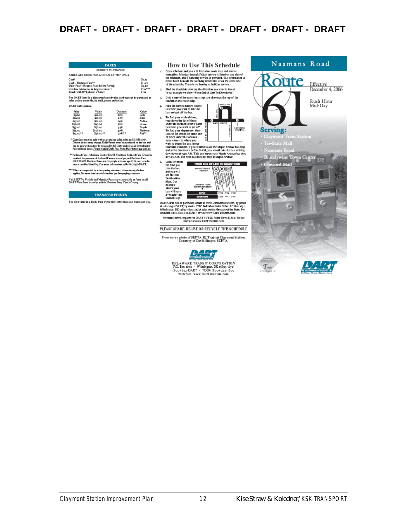| <b>FARES</b>                                                                                                                                                                                                                  |                                                                                          |                                                             |                                                                                 |  |  |  |  |  |
|-------------------------------------------------------------------------------------------------------------------------------------------------------------------------------------------------------------------------------|------------------------------------------------------------------------------------------|-------------------------------------------------------------|---------------------------------------------------------------------------------|--|--|--|--|--|
|                                                                                                                                                                                                                               | SUBJECT TO CHANGE                                                                        |                                                             |                                                                                 |  |  |  |  |  |
| FARES ARE GOOD FOR A ONE-WAY TRIP ONLY                                                                                                                                                                                        |                                                                                          |                                                             |                                                                                 |  |  |  |  |  |
| Cask <sup>*</sup><br>\$1.15<br>Cash - Reddood Face <sup>ba</sup><br>\$45<br>Daily Pass* (Request Pass Before Paying)<br>\$240<br>Children (46 inches in height or under)<br>Free***<br>Blind (with DVT photo TD Card)<br>Free |                                                                                          |                                                             |                                                                                 |  |  |  |  |  |
| The DART Card is a discounted stored value card that can be purchased at<br>sales outlets statewide, by mail, phone and online.                                                                                               |                                                                                          |                                                             |                                                                                 |  |  |  |  |  |
| <b>DART</b> Card options:                                                                                                                                                                                                     |                                                                                          |                                                             |                                                                                 |  |  |  |  |  |
| Price<br>50.60<br>81200<br>515.00<br>\$30.00<br>335.00<br>\$65.00<br>St4.00**                                                                                                                                                 | Vakse<br>\$12.00<br>316.10<br>S21.00<br>\$43.20<br>\$52.00<br>5108.00<br><b>SA6.00**</b> | Discount<br>20%<br>29%<br>20%<br>30%<br>348<br>soñ<br>70%** | Color<br>Gold<br>Blue<br>Yellow<br>Green<br>Parple<br><b>Platiniza</b><br>Red** |  |  |  |  |  |

"Cash fares us in be puid with exact change using color and 3r bills only .<br>Diriven do not carry change, Daily Passes music be purchased on the bas and<br>can be puid with casher by using a DA RTCand and any valid for us frai

\*\* Reduced Fare — Medicare Card or DART First State Reduced Fare 110 card in<br>- required for pay nent of Reduced Fares or tear of prepaid Reduced Fare<br>DARTCartt, Reduced Fares are for people who are age 63 di cere, crew ho<br>

\*\*\*When accompanied by a fare-paying cunterner, otherwise regular fare<br>applies. No more than two children free per fare-paying customer.

Valid SEPTA Weekly and Monthly Panes are acceptable as favor on all.<br>DART First State bus trips within Northern New Castle County.

#### TRANSFER POINTS

The best value is a Daily Pass if you ride no re than two buses per day.

How to Use This Schedule  $\mathbf{L}$ 

For schools and you will find a bas to the map and service<br>(per schools) and you will find a bas to the map and service<br>furnables. Monday through Friday service is fasted on one side of<br>the schools), and if Salurday servic 2. Find the time table showing the direction you want to travel.<br>In our example we show "From End of Line To Downtown".

3. Only some of the many bas stops are shown at the top of the timetable and route map.

4<br>Find the circled letters closest<br>to where you want to take the<br>bus and get off the bus.

5. To find your arrival time,<br>read down the list of times

6,



17:25 AM. The next bus does not stop at Maple Avenue.<br>
Look left from 1990<br>
the time you<br>
the time you<br>
the time you<br>
the busing of the state of the state of the state<br>
the state of the state of the state of the state<br>
De ۰



DARTCards can be parchased online at www.DartFirstState.com, by phone<br>at 1-800-653-DART, by mail - DTC Individual Sales Order, PO Box 1679,<br>Wilmington, DE 19899-1670, and at sales outlets throughout the State, For<br>location

For transit news, register for DART's FREE Rider News E-Mail Notice<br>Service at www.DartFirstState.com

PLEASE SHARE, RE-USE OR RECYCLE THIS SCHEDULE

Front cover photo of SEPTA R2 Train at Claymont Station,<br>Courtesy of David Shayer, SEPTA,



Naamans Road oute Effective December 4, 2006 Rush Hour Mid-Day **Serving:** .<br>ri-State Mall  $N_{\text{trans}}$   $R_{\text{max}}$ Brandywine Town Center  $\frac{372}{372}$ G  $\bigcirc$  $\mathcal{T}_{our}$ Delaw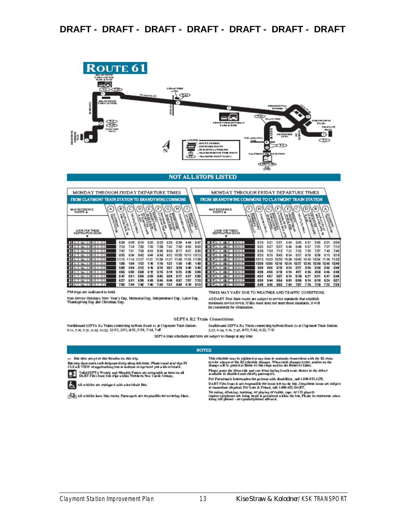

Non-Service Holidays: New Year's Day, Memorial Day, Independence Day, Labor Day, Thanksgiving Day and Christmas Day,

TIMES MAY VARY DUE TO WEATHER AND TRAFFIC CONDITIONS. All DART First State routes are subject to service standards that establish minimum service levels. If this route does not meet those standards, it will be considered for elimination.

SEPTA R2 Train Connections

Southbound SEPTA R2 Trains connecting to/from Route 61 at Clay mont Train Station: Northbound SEPTA R2 Trains connecting to/from Route 6t at Claymont Train Station: 6:11, 7:16, 7:51, 9:25, 10:55, 12:53, 2:53, 4:52, 5:58, 7:14, 7:47 5:57, 6:24, 7:16, 7:47, 4:51, 5:42, 6:22, 7:13

SEPTA train schedules and fares are subject to change at any time,

#### **NOTES**

- Bus does not go to this location on this trip,

Bussop signs mark cach designated stop along this route. Please stand wan'sign IN<br>CLEAR VIEW of approaching bus to indicate to operator you wish to board. **Ca** Valid SEPTA Weekly and Monthly Passes are acceptable as fares on all<br>DART Pits: State bus trips within Norderto New Castle County,



All vehicles are equipped with wheel duar lins,

All vehicles have bike racks, Passengers are responsible for securing bikes,

This schedule may be adjusted at any time 10 maintain connections with the R2 train<br>service whenever the R2 schedule changes, When such changes occur, notices on the<br>change will be praced at Route 61 bus slops and on the R

Please make the fitters side and two fitter facing bench seast closest to the diffrem<br>mailable to disabled and elderly passengers,

For Paramars it Information for persons with disabilities, call 1 800 553-3278, DART First State is not responsible for items left on the bus. Suspicious items are subject<br>to immediate disposal, For Lost & Found, call 1-800-652-DART.

No cating, drinking, amaking, or playing of radius, tape, or CD players<br>(unless carpiones are being used) is permitted within the bus, Please be courseous when<br>using cell players - as speakerplanes allowed,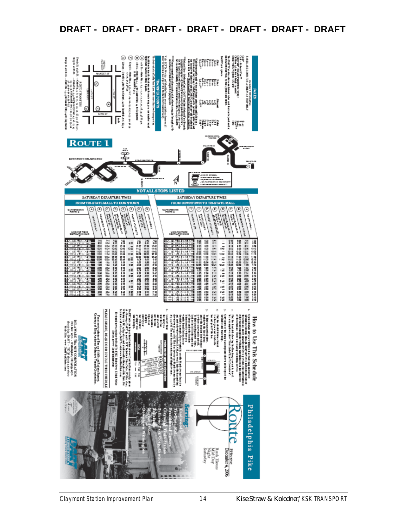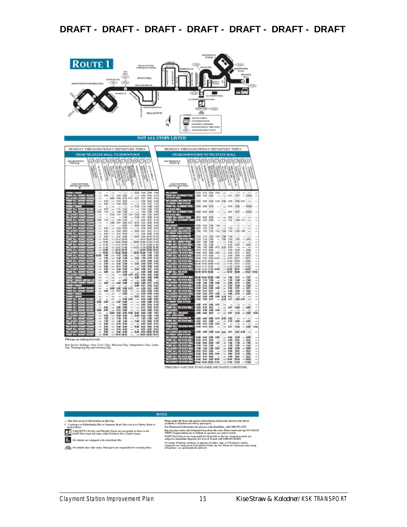| <b>ROUTE 1</b><br>BELLEVIE PARK<br>MPORAFE CENTER<br><b>UG</b><br>$T - 1$<br>PENNY HILL<br>đìo<br>ශ<br>DOWNTOWN WILMINGTON<br><b>A DATE PR</b><br><b>MARKET IT</b><br><b>K BLVD</b><br>ļ<br><b>BELLEFONTE</b><br>Ì<br><b>NOT ALL STOPS LISTED</b>                                                                                                                                                                                                                                                                                                                                                                                                                                                                                                                                                                                                                                                                                                                                                                                                                                                                                                                                                                                                                                                                                                                                                                                                                                                                                                                                                                                                                                                                                                                                                                                                                                                                                                                                                                                                                                                                                                                                                                                                                                                                                                                                                                                                                                                                                                                                                                                                                                                                                                                                                                                                                                                                                                                                                                                                                                                                                                                                                                                                                      | <b>TOWERS</b><br>C141<br>CEAD<br>PEACH TASE<br><b>CALTIMITY/WIND</b><br>ON DOUGH ON<br>TRAUEAUX<br>$\bullet$<br>t<br><b>CF+E</b><br>Æ<br>ä5<br>CEAD<br>తేశు<br><b>JUDITE SYNIK</b><br><b>EXTENDED BOUTE</b><br>- BUILDING LANDMARK<br>N<br>- MAP REPERENCE TIME POINT<br><b>CTA &gt; - TRANSFER POINT TO RTS</b>                                                                                                                                                                                                                                                                                                                                                                                                                                                                                                                                                                                                                                                                                                                                                                                                                                                                                                                                                                                                                                                                                                                                                                                                                                                                                                                                                                                                                                                                                                                                                                                                                                                                                                                                                                                                                                                                                                                                                                                                                                                                                                                                                                                                                                                                                                                                                                                                                                                                                                                                                                                                                                                                                                                                                                                                                                                                                                                                                                                                                     |
|------------------------------------------------------------------------------------------------------------------------------------------------------------------------------------------------------------------------------------------------------------------------------------------------------------------------------------------------------------------------------------------------------------------------------------------------------------------------------------------------------------------------------------------------------------------------------------------------------------------------------------------------------------------------------------------------------------------------------------------------------------------------------------------------------------------------------------------------------------------------------------------------------------------------------------------------------------------------------------------------------------------------------------------------------------------------------------------------------------------------------------------------------------------------------------------------------------------------------------------------------------------------------------------------------------------------------------------------------------------------------------------------------------------------------------------------------------------------------------------------------------------------------------------------------------------------------------------------------------------------------------------------------------------------------------------------------------------------------------------------------------------------------------------------------------------------------------------------------------------------------------------------------------------------------------------------------------------------------------------------------------------------------------------------------------------------------------------------------------------------------------------------------------------------------------------------------------------------------------------------------------------------------------------------------------------------------------------------------------------------------------------------------------------------------------------------------------------------------------------------------------------------------------------------------------------------------------------------------------------------------------------------------------------------------------------------------------------------------------------------------------------------------------------------------------------------------------------------------------------------------------------------------------------------------------------------------------------------------------------------------------------------------------------------------------------------------------------------------------------------------------------------------------------------------------------------------------------------------------------------------------------------|--------------------------------------------------------------------------------------------------------------------------------------------------------------------------------------------------------------------------------------------------------------------------------------------------------------------------------------------------------------------------------------------------------------------------------------------------------------------------------------------------------------------------------------------------------------------------------------------------------------------------------------------------------------------------------------------------------------------------------------------------------------------------------------------------------------------------------------------------------------------------------------------------------------------------------------------------------------------------------------------------------------------------------------------------------------------------------------------------------------------------------------------------------------------------------------------------------------------------------------------------------------------------------------------------------------------------------------------------------------------------------------------------------------------------------------------------------------------------------------------------------------------------------------------------------------------------------------------------------------------------------------------------------------------------------------------------------------------------------------------------------------------------------------------------------------------------------------------------------------------------------------------------------------------------------------------------------------------------------------------------------------------------------------------------------------------------------------------------------------------------------------------------------------------------------------------------------------------------------------------------------------------------------------------------------------------------------------------------------------------------------------------------------------------------------------------------------------------------------------------------------------------------------------------------------------------------------------------------------------------------------------------------------------------------------------------------------------------------------------------------------------------------------------------------------------------------------------------------------------------------------------------------------------------------------------------------------------------------------------------------------------------------------------------------------------------------------------------------------------------------------------------------------------------------------------------------------------------------------------------------------------------------------------------------------------------------------------|
|                                                                                                                                                                                                                                                                                                                                                                                                                                                                                                                                                                                                                                                                                                                                                                                                                                                                                                                                                                                                                                                                                                                                                                                                                                                                                                                                                                                                                                                                                                                                                                                                                                                                                                                                                                                                                                                                                                                                                                                                                                                                                                                                                                                                                                                                                                                                                                                                                                                                                                                                                                                                                                                                                                                                                                                                                                                                                                                                                                                                                                                                                                                                                                                                                                                                        |                                                                                                                                                                                                                                                                                                                                                                                                                                                                                                                                                                                                                                                                                                                                                                                                                                                                                                                                                                                                                                                                                                                                                                                                                                                                                                                                                                                                                                                                                                                                                                                                                                                                                                                                                                                                                                                                                                                                                                                                                                                                                                                                                                                                                                                                                                                                                                                                                                                                                                                                                                                                                                                                                                                                                                                                                                                                                                                                                                                                                                                                                                                                                                                                                                                                                                                                      |
| MONDAY THROUGH FRIDAY DEPARTURE TIMES<br>FROM TRI-STATE MALL TO DOWNTOWN<br><b><i>NAT REFERENCE</i></b><br><b>POENTS</b><br><b>WARTHAMPTON</b><br><b>DECAMPAGE</b><br>긤<br><b>HOLD FOR PART</b><br>高原<br><b>CHAMPION</b><br>Commercial<br><b>Casar</b><br><b>DARATION</b><br><b>PACIFICATION</b><br><b>B</b><br><b>Harbourne</b><br><b>Brough</b><br><b>Callback</b><br>١<br><b>LEXES</b><br><b>ARTIFICATION</b><br><b>CONTROL</b><br>ą<br>Ŕ,<br>ţ<br>۷s<br>į<br>þ<br>LOOK FOR THESE<br>DESTINATION SKING<br>5:20<br>534<br>543<br>5.48<br>5.35<br>545<br>5:52<br>6:00<br>8:10<br>6:14<br>6:05<br>6:08<br>6:14<br>617<br>621<br>6:27<br>6:37<br>6.42<br>6.05<br>616<br>6:30<br>6.42<br>646<br>6:22<br>×<br>6.35<br>648<br>4:52<br>7 po<br>7.12<br>7:16<br>2:10<br>758<br>7:30<br>7:34<br>4.50<br>2.11<br>7.42<br>18<br>728<br>2.12<br>n<br>7:58<br>7:16<br>7:28<br>7:56<br>TAD<br>7:54<br>7:58<br>7:29<br>800<br>7:28<br>7:35<br>7:35<br>7:43<br>7:58<br>7.46<br>7.49<br>7.57<br>8.00<br>8:14<br>7:30<br>7:34<br>7:48<br>2:54<br>8:00<br>8.12<br>8.18<br>7:58<br>8:01<br>611<br>8.15<br>640<br>8:08<br>623<br>8:35<br>8:25<br>8:28<br>8:56<br>8:48<br>853<br>8.00<br>8:25<br>638<br>854<br>8:30<br>8:50<br>π<br>8:30<br>843<br>8:50<br>a:sa<br><b>SIM</b><br>0.12<br>0.17<br>9.00<br>$\overline{a}$<br>全轻<br>9:18<br>全洲<br>9.38<br>化铝<br>4:52<br>9:50<br>4.30<br>948<br>6.49<br>10:10<br>10:15<br>10:00<br>10:12<br>10:18<br>0.00 8038 10:42<br>π<br>۱T)<br>10:30<br>10:53<br>10:50 11:10<br>11:15<br>1042<br>10.49<br>$\sim$<br>11:00<br>11:26<br>11:36<br>11:47<br>E<br>19:12<br>1118<br>π<br>ū<br>$-1152$<br>11:30<br>11:42<br>11:49<br>11.50 12:10<br>12:15<br>12.00<br>1212<br>12-18<br>12:26 12:38<br>12:42<br>12:52 12:59<br>12:30<br>12.42<br>12:49<br>1.10<br>1:15<br>-<br>12:55<br>1:00<br>1:12<br>128<br>126<br>142<br>1:38<br>5.42<br>0.48<br>6.62<br>150<br>$2 - 48$<br>$2 - 18$<br>-<br>2.00<br>212<br>2.58<br>2.26<br>2:38<br>2.42<br>π<br>2:36<br>2.42<br>2.49<br>2.82<br>2:48<br>3:10<br>2, 18<br>5:00<br>$3 - 11$<br>$2 - 18$<br>5:26<br>3:39<br>2:42<br>1:30<br>3.43<br>3:58<br>153<br>4:16<br>4:00<br>4:11<br>4:00<br>411<br>41<br>426<br>438<br>442<br>427<br>423<br>420<br>434<br>4.45<br>4:58<br>4:38<br>4.45<br>4.55<br>5:08<br>m<br>458<br>458<br>8:00<br>4:30<br>4:52<br>40<br>9:16<br>4.58<br>109<br>8.11<br>sar<br>8.18<br>122<br>1:08<br>4:50<br>轜<br>5.08<br>8:12<br>520<br>8:31<br>5:34<br>5:00<br>÷<br>124<br>\$12<br>5:28<br>5.28<br>8:30<br>5:44<br>6.01<br>837<br>5.51<br>8:47<br>5:58<br>842<br>5:50<br>6:00<br>6:06<br>826<br>5:38<br>5.42<br>612<br>5.56<br>6.00<br>1.58<br>6:14<br>6:19<br>653<br>5.45<br>6.00<br>846<br>6.03<br>641<br>6.23<br>6:27<br>1:16<br>6:12<br>642<br>626<br>6:39<br>6:28<br>625<br>628<br>6.36<br>6:38<br>6.42<br>650<br>7.82<br>7:07<br>6:30<br>6.40<br>5.45<br>5.49<br>6:55<br>7:08<br>7:18<br>7.09<br>7:10<br>2.16<br>723<br>nav<br>工業<br>7:38<br>1.48<br>7.45<br>7.49<br>7.55<br>2.01<br>8:18<br>100<br>8:10<br>8:33<br>取解<br>823<br>137<br>-<br>8:30<br>ŁЮ<br><b>Exit</b><br>Ext<br>858<br>9:05<br>9:10<br>全创<br>810<br>9:16<br>9:25<br>9:33<br>9:37<br>-<br>6:30<br>Eй<br>6.46<br>6.49<br>0.58<br>10.06<br>18-18<br>10:00<br>18:10 18:16<br>10:23 10:33 10:37<br>M trips are indicated in bold. | MONDAY THROUGH FRIDAY DEPARTURE TIMES<br>FROM DOWNTOWN TO TRI-STATE MALL<br>Đ.<br>ſä<br><b>MAP REPERIENCE</b><br>anarchives<br>ļ<br>anto Relate<br>s<br>ţ<br><b>Curant</b><br>colours of<br><b>ASHORN</b><br><b>BASE</b><br>on street<br>ß<br>县<br><b>Canada</b><br>g<br><b>CANADA</b><br>$\alpha$ and $\alpha$<br><b>WASHING</b><br><b>CONTRACTOR</b><br><b>CONTACT</b><br>沈<br><b>CONTRACTOR</b><br>٩<br>ħ<br>١<br>k<br>71<br>'n<br>'n<br><b>DESTRO</b><br>5:24<br>533<br>5.79<br>525<br>5.35<br>5.47<br>$- 5.965$<br>CLAYMONT ETHIL<br>Ma<br>5:20<br>581<br>e mu<br>5:25<br>5:30<br>5.40<br>5.46<br>5.49<br>5:58<br>5:59<br>6.01<br><b>Laurence</b><br>8:000<br>555<br>6:00<br>6:10<br>6:18<br>8:22<br><b>STORES</b><br><b>651C</b><br>6:35<br>6:35<br>6.41<br>647<br>6:30<br>627<br>6.32<br>643<br>6:50<br>7:08 7:13<br>645<br>6.40<br>6.55<br>力幅<br>÷<br>6:48<br>6.53<br>7:05<br>7:09<br>657<br>7.02<br>7:13<br>7:30<br>i.<br>ш<br>TITLE<br>7:00<br>7:05<br>2:18<br>7:22<br>728<br>7:30<br>7:36 7:58<br>÷<br>$-100$<br>7:85<br><b>HILL</b><br>7-68<br>7:16<br>7:52<br>7.56<br>$7 - 48$<br><b>Abrill</b><br>7:55<br>805<br><b>THE</b><br>2.10<br>7:14<br>7:35<br>TACT<br>7.49<br>$\overline{\phantom{a}}$<br>$\overline{a}$<br>7.43<br>7:50<br>7:32<br>7:27<br>$\overline{\phantom{a}}$<br>×<br>i.<br>語<br>8.10<br>8:20<br><b>SHR</b><br>40<br>7-58<br>$\equiv$<br>7:50<br>756<br>812<br>8:08<br>8:18<br>$\sim$<br>6:15<br>8:28<br>834<br>8.40<br>850<br>8:50<br>8:40<br>8:45<br>8:55<br>0.02<br>9.95<br>9.11<br>$\sim$<br>9.21<br>$\overline{\phantom{a}}$<br>9:33<br>8.10<br>9.50<br>i.<br>9/15<br>9:25<br>0.40<br>9:40<br>$9 - 45$<br>9.58<br>10:07<br>10:05<br>10/11<br>10:21<br>$\overline{a}$<br>$\overline{a}$<br>0.90<br>90:95<br>10:28<br>10:38<br>10:40<br>10:50<br>11.11<br>11.21<br>÷<br>0.40<br>10:45<br>10:58<br>11:02<br>11:05<br><b>TER</b><br>11:50<br>11:15 11:26<br>11:33<br>11.40<br>$-1150$<br>$\overline{a}$<br>12.21<br>11:45<br>12.95<br>64<br>11:40<br>11:58<br>12:52<br>12:10 12:15 12:35<br>12:33<br>12.48<br>12.47<br>11181<br>12:40<br>ίų,<br>12:45<br>1:02<br>tik<br>1:11<br>121<br>$\frac{1.98}{1.88}$<br>1:15<br>1:39<br>1:33<br>1:40<br>158<br>-<br>-<br>2.02<br>2:11<br>221<br>2.85<br>$\overline{a}$<br>1:45<br>1.16<br>쾗<br>$\frac{235}{236}$<br>끮<br>譜<br>퍫<br>퍫<br>-<br>zŵ<br>$\overline{a}$<br>$\overline{\phantom{a}}$<br>-<br>2.10<br>3:15<br>3:27<br>3:36<br>2.43<br>254<br>-<br>m<br>2:40<br>3.97<br>$4 - 13$<br>4:23<br>3:45<br>4個<br>496<br>-<br>$\sim$<br>L<br>457<br>2:45<br>3:50<br>4.90<br>4:04<br>4:10<br>429 439<br>2.54<br>5.58<br>4tt<br>4.56<br>421<br>$\overline{a}$<br>4:53<br>4:04<br>425<br>eМ<br><b>CONTRACTOR</b><br>4:10<br>4:15<br>427<br>437<br>4:44<br>$-455$<br>i.<br>4:55<br>4:33<br>4:38<br>4:50<br>4:45<br>687<br>5:54<br>6:20<br>9:24<br>4:40<br>457<br>œ<br>4.50<br>455<br>8.95<br>6.11<br>8:55<br>822<br>4.52<br>457<br>$rac{8.00}{8.25}$<br>8:19<br>1:25<br>$-837$<br>÷<br>6:53<br>sм<br>5:08<br>637<br>5:50<br>5:54<br>5:10<br>8:15<br>8:27<br>5:44<br>6.29<br>8:38<br>8.91<br>6.67<br>6.23<br>6.64<br>548<br>847<br>ш<br>TITE<br>T,<br>1.4<br>6.01<br>ŧм<br>6:18<br>6.20<br>5:45<br>5.95<br>$\overline{a}$<br>6:10<br>6:15<br>6:25<br>630<br>4:37<br>6.47<br><b>TITU</b><br>2:01<br>m<br>6:55<br>7:54<br>6:40<br>6:45<br>7:10<br>728<br>$\blacksquare$ |
| Non-Service Molidays; New Year's Day, Momorial Day, Independence Day, Labor<br>Day, Thanksgiving Day and Christmas Day,                                                                                                                                                                                                                                                                                                                                                                                                                                                                                                                                                                                                                                                                                                                                                                                                                                                                                                                                                                                                                                                                                                                                                                                                                                                                                                                                                                                                                                                                                                                                                                                                                                                                                                                                                                                                                                                                                                                                                                                                                                                                                                                                                                                                                                                                                                                                                                                                                                                                                                                                                                                                                                                                                                                                                                                                                                                                                                                                                                                                                                                                                                                                                | 3:30<br>7,10<br>7:11<br>ra<br>TAT<br>$\overline{a}$<br>7:21<br>$\overline{\mathbf{r}}$<br>7:40<br>7:45<br>7:55<br>取倒<br>8.94<br>8:10<br>829<br>-<br>-<br>8:58<br>8:15<br>4:30<br>8:47<br>8:25<br>8:37<br>-<br>$\overline{\phantom{a}}$<br>8:48<br>8:45<br>8:15<br>9:01<br>8.84<br>9:10<br>9:29<br>$\overline{a}$<br><b>WELLET</b><br>9:10<br>9:15<br>9:25<br>9:30<br>9:32<br>9.47<br>$\equiv$<br>m<br><b>TIME</b><br>9:40<br>9:45<br>18:01<br>9:55<br>10:54<br>92.10<br>10:20<br>$\overline{1}$<br>m<br>11:54<br>11-18<br>11:20<br>$\overline{a}$<br>10:40<br>10:45<br>1848<br>11.01                                                                                                                                                                                                                                                                                                                                                                                                                                                                                                                                                                                                                                                                                                                                                                                                                                                                                                                                                                                                                                                                                                                                                                                                                                                                                                                                                                                                                                                                                                                                                                                                                                                                                                                                                                                                                                                                                                                                                                                                                                                                                                                                                                                                                                                                                                                                                                                                                                                                                                                                                                                                                                                                                                                                                 |

TIMES MAY VARY DUE TO WEATHER AND TRAFFIC CONDITIONS.

#### **NOTES**

— Bus does not go to this location on this trip,<br> $C \cdot \operatorname{Coker} \operatorname{End} \nolimits \times \operatorname{Coker} \nolimits \operatorname{End} \nolimits \times \operatorname{Hom} \nolimits \times \operatorname{Hom} \nolimits \times \operatorname{Hom} \nolimits \times \operatorname{Hom} \nolimits \times \operatorname{Hom} \nolimits \times \operatorname{Hom} \nolimits \times \operatorname{Hom} \nolimits \times \operatorname{Hom} \nolimits \times \operatorname{Hom} \nolimits \times \operatorname{Hom} \nolimits \times \operatorname{Hom}$ 

 $\sum$  All vehicles are equipped with wheelehair lifts,

 $\bigotimes_{i=0}^{\infty}$  All vehicles have bike racks, Passeugen are responsible for securing bikes,

1.3.<br>Thus make the front side and two front factory bouch seats closest to the driver results the front that is a present with disabilities, call 1.400-553-3219, Far Paratrassic Information for presents with disabilities,